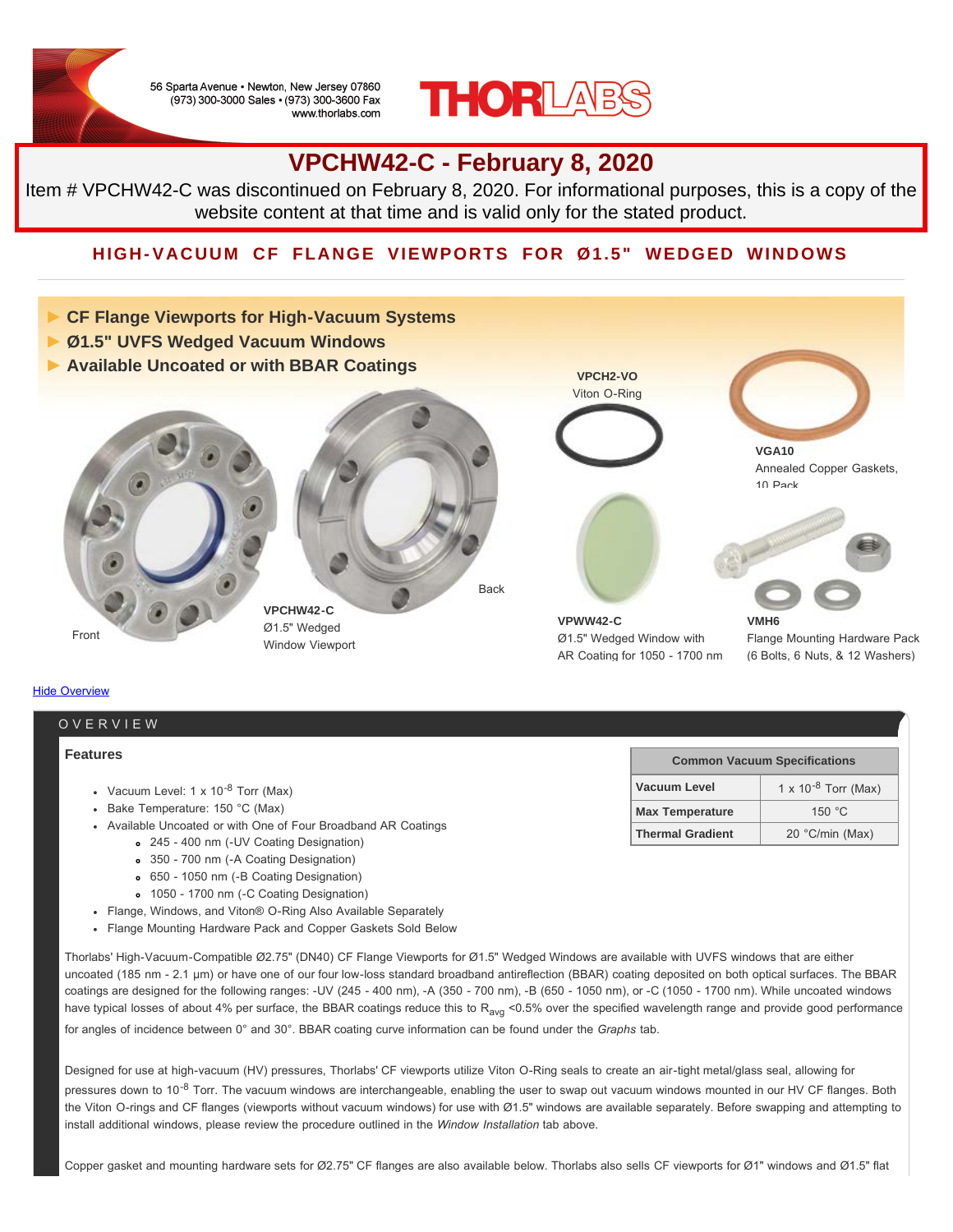56 Sparta Avenue · Newton, New Jersey 07860 (973) 300-3000 Sales · (973) 300-3600 Fax www.thorlabs.com



### **VPCHW42-C - February 8, 2020**

Item # VPCHW42-C was discontinued on February 8, 2020. For informational purposes, this is a copy of the website content at that time and is valid only for the stated product.

### **HIGH-VACUUM CF FLANGE VIEWPORTS FOR Ø1.5" WEDGED WINDOWS**



#### **Features**

- Vacuum Level:  $1 \times 10^{-8}$  Torr (Max)
- Bake Temperature: 150 °C (Max)
- Available Uncoated or with One of Four Broadband AR Coatings
	- 245 400 nm (-UV Coating Designation)
	- 350 700 nm (-A Coating Designation)
	- 650 1050 nm (-B Coating Designation)
	- 1050 1700 nm (-C Coating Designation)
- Flange, Windows, and Viton® O-Ring Also Available Separately
- Flange Mounting Hardware Pack and Copper Gaskets Sold Below

Thorlabs' High-Vacuum-Compatible Ø2.75" (DN40) CF Flange Viewports for Ø1.5" Wedged Windows are available with UVFS windows that are either uncoated (185 nm - 2.1 μm) or have one of our four low-loss standard broadband antireflection (BBAR) coating deposited on both optical surfaces. The BBAR coatings are designed for the following ranges: -UV (245 - 400 nm), -A (350 - 700 nm), -B (650 - 1050 nm), or -C (1050 - 1700 nm). While uncoated windows have typical losses of about 4% per surface, the BBAR coatings reduce this to R<sub>avg</sub> <0.5% over the specified wavelength range and provide good performance for angles of incidence between 0° and 30°. BBAR coating curve information can be found under the *Graphs* tab.

Designed for use at high-vacuum (HV) pressures, Thorlabs' CF viewports utilize Viton O-Ring seals to create an air-tight metal/glass seal, allowing for pressures down to 10<sup>-8</sup> Torr. The vacuum windows are interchangeable, enabling the user to swap out vacuum windows mounted in our HV CF flanges. Both the Viton O-rings and CF flanges (viewports without vacuum windows) for use with Ø1.5" windows are available separately. Before swapping and attempting to install additional windows, please review the procedure outlined in the *Window Installation* tab above.

Copper gasket and mounting hardware sets for Ø2.75" CF flanges are also available below. Thorlabs also sells CF viewports for Ø1" windows and Ø1.5" flat

| <b>Common Vacuum Specifications</b> |                          |  |  |
|-------------------------------------|--------------------------|--|--|
| Vacuum Level                        | 1 x $10^{-8}$ Torr (Max) |  |  |
| <b>Max Temperature</b>              | 150 $\degree$ C          |  |  |
| <b>Thermal Gradient</b>             | 20 °C/min (Max)          |  |  |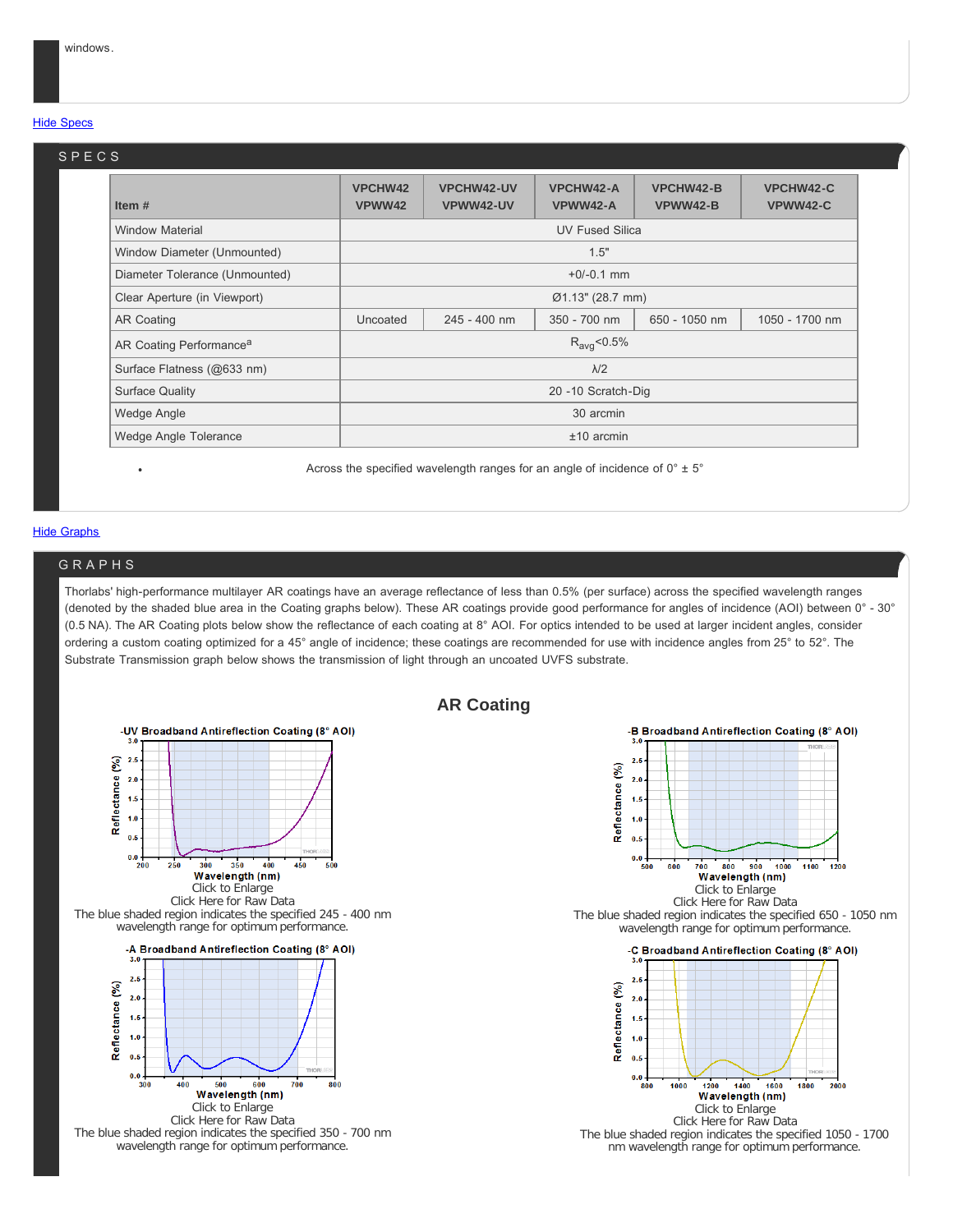#### **Hide Specs**

#### **Item # VPCHW42 VPWW42 VPCHW42-UV VPWW42-UV VPCHW42-A VPWW42-A VPCHW42-B VPWW42-B VPCHW42-C VPWW42-C** Window Material **Window Material Community Community** Community Community Community Community Community Community Community Community Community Community Community Community Community Community Community Community Communit Window Diameter (Unmounted) and the control of the control of the control of the control of the control of the control of the control of the control of the control of the control of the control of the control of the contro Diameter Tolerance (Unmounted) +0/-0.1 mm Clear Aperture (in Viewport) Ø1.13" (28.7 mm) AR Coating **National Coating 100 and 245 - 400 nm** 350 - 700 nm 1050 - 1050 nm 1050 - 1700 nm AR Coating Performance<sup>a</sup>  $R_{\text{avg}}$ <0.5% Surface Flatness (@633 nm)  $λ/2$ Surface Quality 20 -10 Scratch-Dig Wedge Angle 30 arcmin 30 arcmin 30 arcmin 30 arcmin 30 arcmin 30 arcmin 30 arcmin 30 arcmin 30 arcmin 30 arcmin Wedge Angle Tolerance ±10 arcmin SPECS

Across the specified wavelength ranges for an angle of incidence of  $0^{\circ} \pm 5^{\circ}$ 

#### **Hide Graphs**

#### GRAPHS

Thorlabs' high-performance multilayer AR coatings have an average reflectance of less than 0.5% (per surface) across the specified wavelength ranges (denoted by the shaded blue area in the Coating graphs below). These AR coatings provide good performance for angles of incidence (AOI) between 0° - 30° (0.5 NA). The AR Coating plots below show the reflectance of each coating at 8° AOI. For optics intended to be used at larger incident angles, consider ordering a custom coating optimized for a 45° angle of incidence; these coatings are recommended for use with incidence angles from 25° to 52°. The Substrate Transmission graph below shows the transmission of light through an uncoated UVFS substrate.



#### **AR Coating**

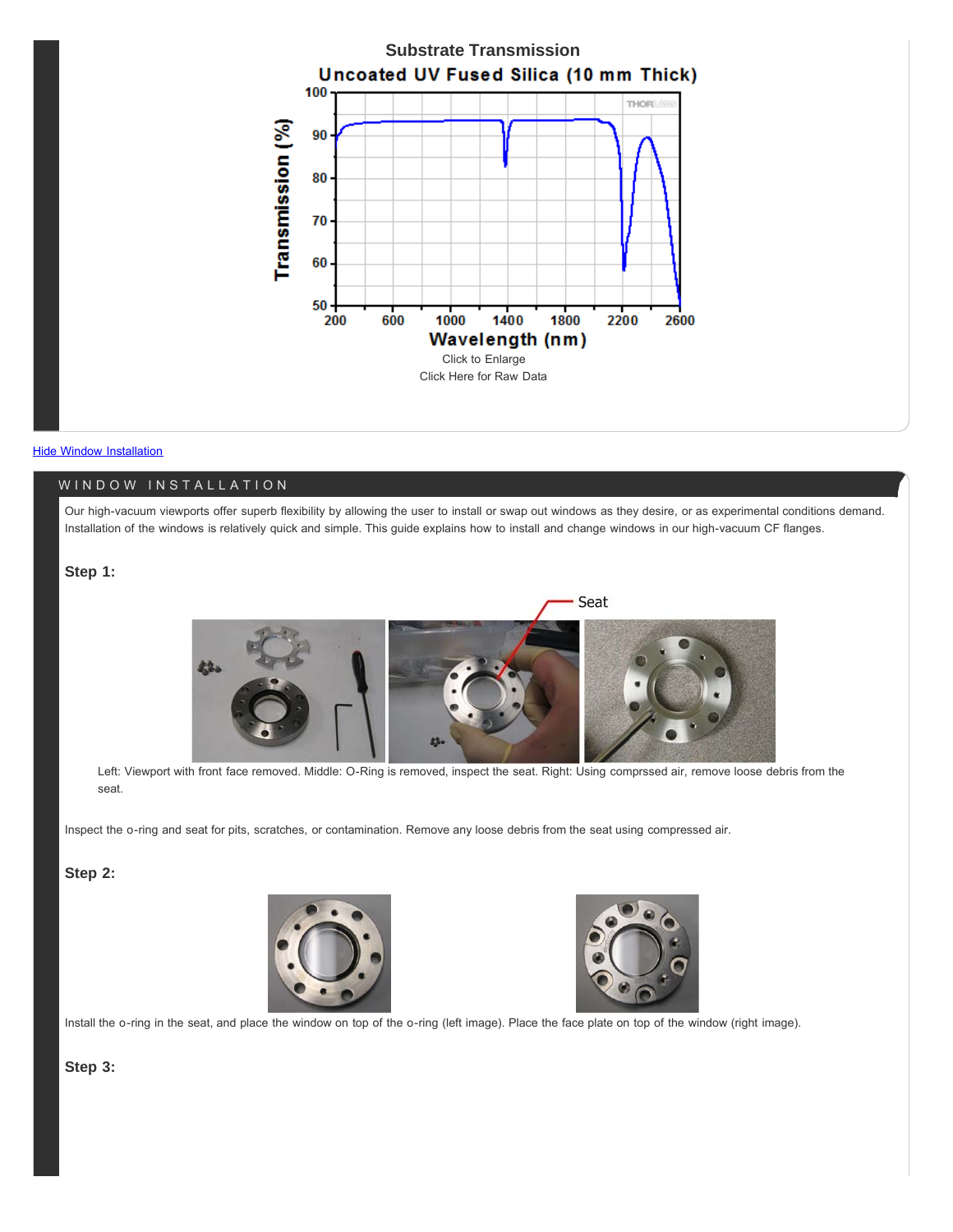

#### **Hide Window Installation**

#### WINDOW INSTALLATION

Our high-vacuum viewports offer superb flexibility by allowing the user to install or swap out windows as they desire, or as experimental conditions demand. Installation of the windows is relatively quick and simple. This guide explains how to install and change windows in our high-vacuum CF flanges.

#### **Step 1:**



Left: Viewport with front face removed. Middle: O-Ring is removed, inspect the seat. Right: Using comprssed air, remove loose debris from the seat.

Inspect the o-ring and seat for pits, scratches, or contamination. Remove any loose debris from the seat using compressed air.

#### **Step 2:**





Install the o-ring in the seat, and place the window on top of the o-ring (left image). Place the face plate on top of the window (right image).

#### **Step 3:**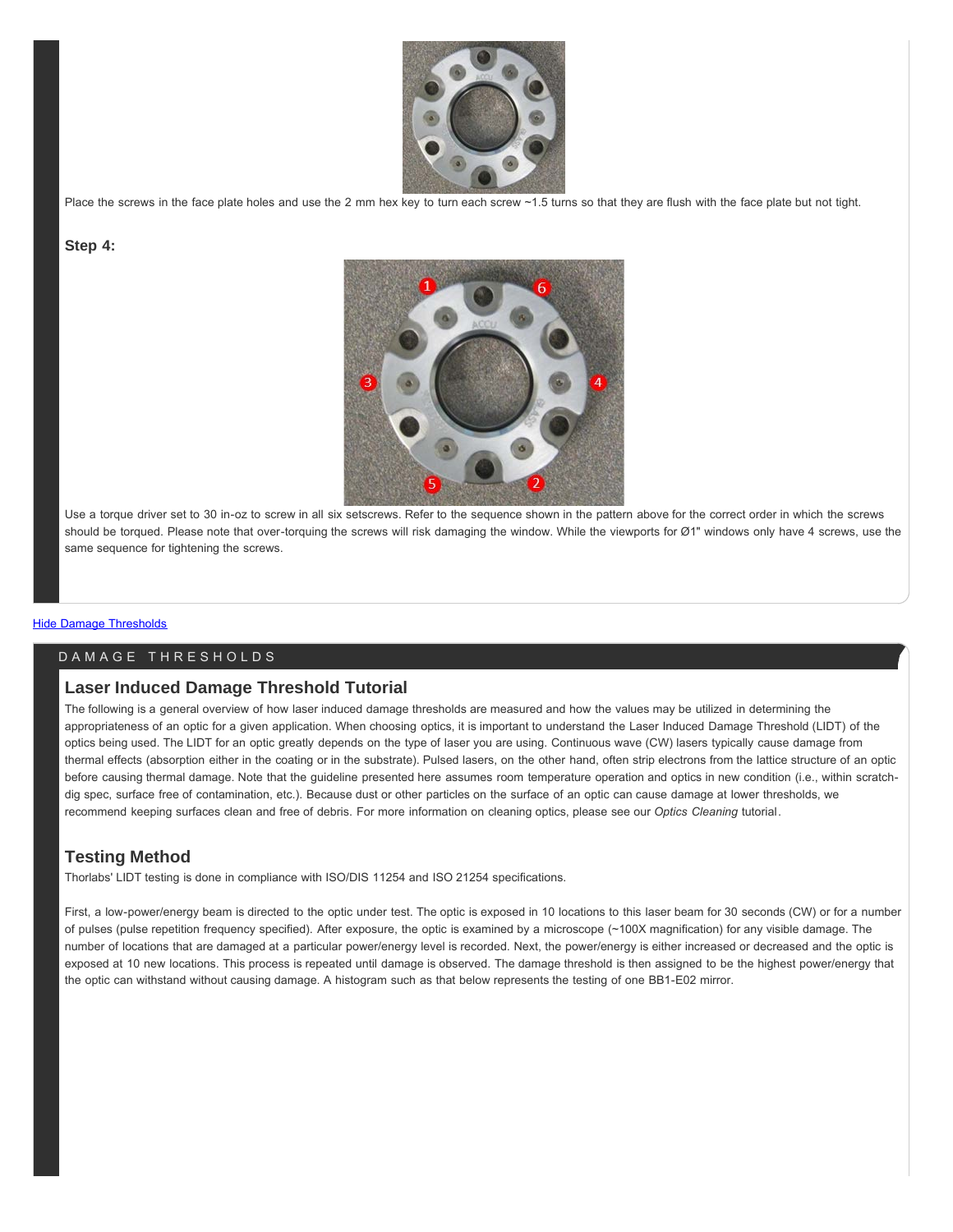

Place the screws in the face plate holes and use the 2 mm hex key to turn each screw ~1.5 turns so that they are flush with the face plate but not tight.

#### **Step 4:**



Use a torque driver set to 30 in-oz to screw in all six setscrews. Refer to the sequence shown in the pattern above for the correct order in which the screws should be torqued. Please note that over-torquing the screws will risk damaging the window. While the viewports for Ø1" windows only have 4 screws, use the same sequence for tightening the screws.

#### **Hide Damage Thresholds**

#### DAMAGE THRESHOLDS

#### **Laser Induced Damage Threshold Tutorial**

The following is a general overview of how laser induced damage thresholds are measured and how the values may be utilized in determining the appropriateness of an optic for a given application. When choosing optics, it is important to understand the Laser Induced Damage Threshold (LIDT) of the optics being used. The LIDT for an optic greatly depends on the type of laser you are using. Continuous wave (CW) lasers typically cause damage from thermal effects (absorption either in the coating or in the substrate). Pulsed lasers, on the other hand, often strip electrons from the lattice structure of an optic before causing thermal damage. Note that the guideline presented here assumes room temperature operation and optics in new condition (i.e., within scratchdig spec, surface free of contamination, etc.). Because dust or other particles on the surface of an optic can cause damage at lower thresholds, we recommend keeping surfaces clean and free of debris. For more information on cleaning optics, please see our *Optics Cleaning* tutorial.

#### **Testing Method**

Thorlabs' LIDT testing is done in compliance with ISO/DIS 11254 and ISO 21254 specifications.

First, a low-power/energy beam is directed to the optic under test. The optic is exposed in 10 locations to this laser beam for 30 seconds (CW) or for a number of pulses (pulse repetition frequency specified). After exposure, the optic is examined by a microscope (~100X magnification) for any visible damage. The number of locations that are damaged at a particular power/energy level is recorded. Next, the power/energy is either increased or decreased and the optic is exposed at 10 new locations. This process is repeated until damage is observed. The damage threshold is then assigned to be the highest power/energy that the optic can withstand without causing damage. A histogram such as that below represents the testing of one BB1-E02 mirror.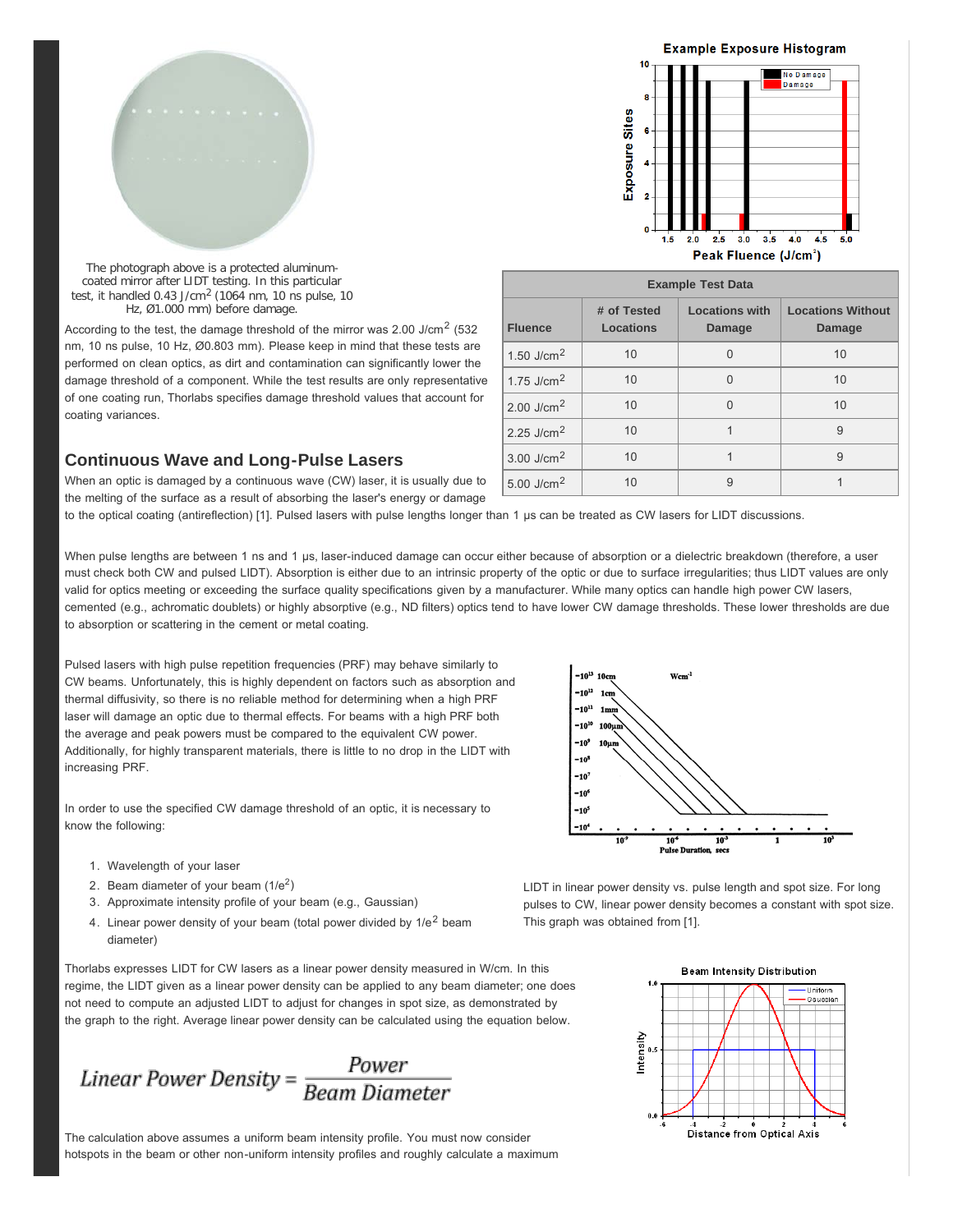

The photograph above is a protected aluminumcoated mirror after LIDT testing. In this particular test, it handled  $0.43$  J/cm<sup>2</sup> (1064 nm, 10 ns pulse, 10 Hz, Ø1.000 mm) before damage.

According to the test, the damage threshold of the mirror was 2.00 J/cm<sup>2</sup> (532 nm, 10 ns pulse, 10 Hz, Ø0.803 mm). Please keep in mind that these tests are performed on clean optics, as dirt and contamination can significantly lower the damage threshold of a component. While the test results are only representative of one coating run, Thorlabs specifies damage threshold values that account for coating variances.

#### **Continuous Wave and Long-Pulse Lasers**

When an optic is damaged by a continuous wave (CW) laser, it is usually due to the melting of the surface as a result of absorbing the laser's energy or damage



Peak Fluence (J/cm<sup>2</sup>)

| <b>Example Test Data</b> |                          |                                        |                                           |  |
|--------------------------|--------------------------|----------------------------------------|-------------------------------------------|--|
| <b>Fluence</b>           | # of Tested<br>Locations | <b>Locations with</b><br><b>Damage</b> | <b>Locations Without</b><br><b>Damage</b> |  |
| 1.50 J/cm <sup>2</sup>   | 10                       | O                                      | 10                                        |  |
| 1.75 J/cm $^2$           | 10                       | U                                      | 10                                        |  |
| 2.00 J/cm <sup>2</sup>   | 10                       | O                                      | 10                                        |  |
| 2.25 J/cm <sup>2</sup>   | 10                       |                                        | 9                                         |  |
| $3.00$ J/cm <sup>2</sup> | 10                       |                                        | 9                                         |  |
| 5.00 J/cm <sup>2</sup>   | 10                       | 9                                      |                                           |  |

to the optical coating (antireflection) [1]. Pulsed lasers with pulse lengths longer than 1 µs can be treated as CW lasers for LIDT discussions.

When pulse lengths are between 1 ns and 1 µs, laser-induced damage can occur either because of absorption or a dielectric breakdown (therefore, a user must check both CW and pulsed LIDT). Absorption is either due to an intrinsic property of the optic or due to surface irregularities; thus LIDT values are only valid for optics meeting or exceeding the surface quality specifications given by a manufacturer. While many optics can handle high power CW lasers, cemented (e.g., achromatic doublets) or highly absorptive (e.g., ND filters) optics tend to have lower CW damage thresholds. These lower thresholds are due to absorption or scattering in the cement or metal coating.

Pulsed lasers with high pulse repetition frequencies (PRF) may behave similarly to CW beams. Unfortunately, this is highly dependent on factors such as absorption and thermal diffusivity, so there is no reliable method for determining when a high PRF laser will damage an optic due to thermal effects. For beams with a high PRF both the average and peak powers must be compared to the equivalent CW power. Additionally, for highly transparent materials, there is little to no drop in the LIDT with increasing PRF.

In order to use the specified CW damage threshold of an optic, it is necessary to know the following:



- 1. Wavelength of your laser
- 2. Beam diameter of your beam  $(1/e^2)$
- 3. Approximate intensity profile of your beam (e.g., Gaussian)
- 4. Linear power density of your beam (total power divided by  $1/e^2$  beam diameter)

Thorlabs expresses LIDT for CW lasers as a linear power density measured in W/cm. In this regime, the LIDT given as a linear power density can be applied to any beam diameter; one does not need to compute an adjusted LIDT to adjust for changes in spot size, as demonstrated by the graph to the right. Average linear power density can be calculated using the equation below.

The calculation above assumes a uniform beam intensity profile. You must now consider hotspots in the beam or other non-uniform intensity profiles and roughly calculate a maximum

LIDT in linear power density vs. pulse length and spot size. For long pulses to CW, linear power density becomes a constant with spot size. This graph was obtained from [1].

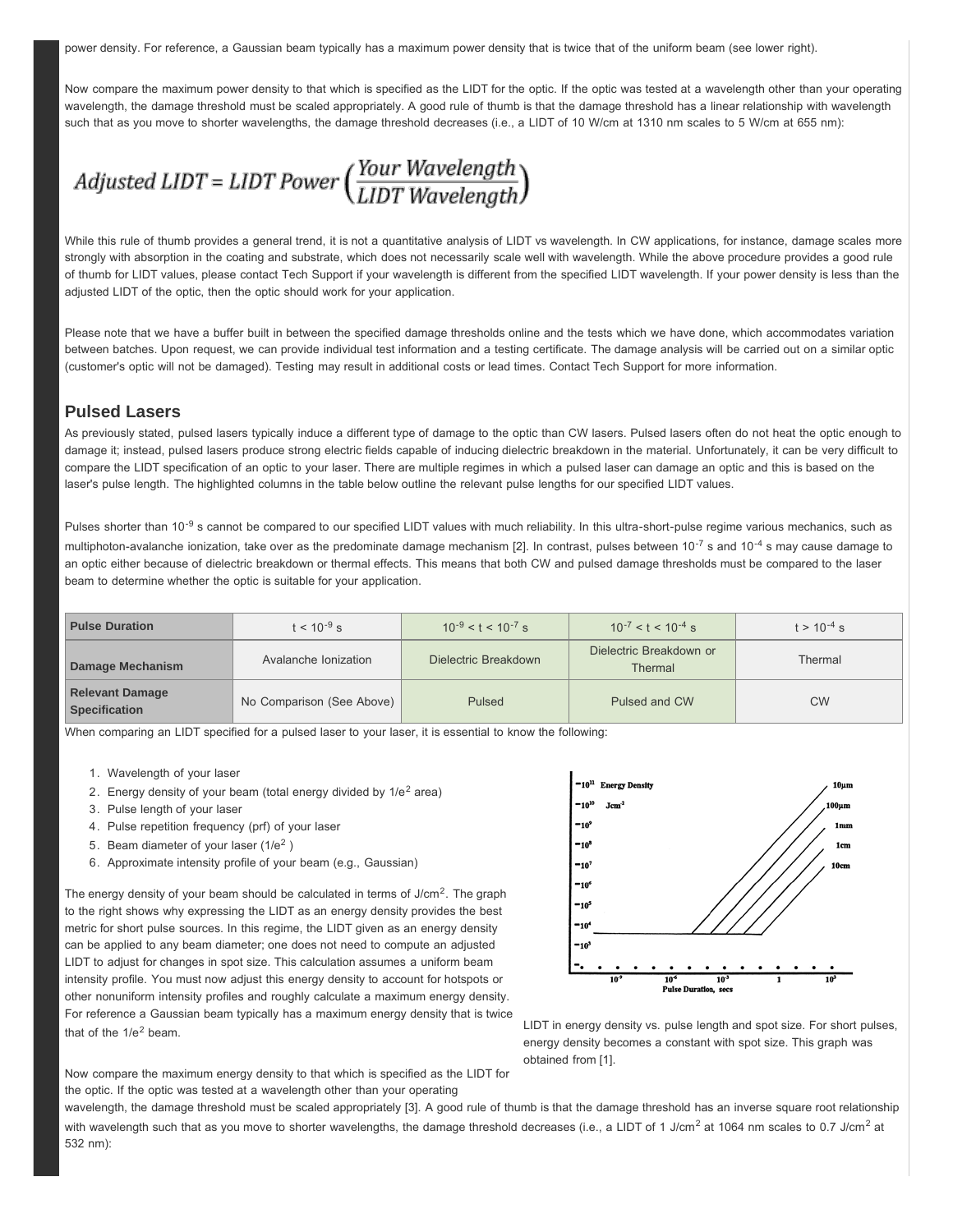power density. For reference, a Gaussian beam typically has a maximum power density that is twice that of the uniform beam (see lower right).

Now compare the maximum power density to that which is specified as the LIDT for the optic. If the optic was tested at a wavelength other than your operating wavelength, the damage threshold must be scaled appropriately. A good rule of thumb is that the damage threshold has a linear relationship with wavelength such that as you move to shorter wavelengths, the damage threshold decreases (i.e., a LIDT of 10 W/cm at 1310 nm scales to 5 W/cm at 655 nm):

Adjusted LIDT = LIDT Power  $\left(\frac{Your \ Wavelength}{LIDT \ Wavelength}\right)$ 

While this rule of thumb provides a general trend, it is not a quantitative analysis of LIDT vs wavelength. In CW applications, for instance, damage scales more strongly with absorption in the coating and substrate, which does not necessarily scale well with wavelength. While the above procedure provides a good rule of thumb for LIDT values, please contact Tech Support if your wavelength is different from the specified LIDT wavelength. If your power density is less than the adjusted LIDT of the optic, then the optic should work for your application.

Please note that we have a buffer built in between the specified damage thresholds online and the tests which we have done, which accommodates variation between batches. Upon request, we can provide individual test information and a testing certificate. The damage analysis will be carried out on a similar optic (customer's optic will not be damaged). Testing may result in additional costs or lead times. Contact Tech Support for more information.

#### **Pulsed Lasers**

As previously stated, pulsed lasers typically induce a different type of damage to the optic than CW lasers. Pulsed lasers often do not heat the optic enough to damage it; instead, pulsed lasers produce strong electric fields capable of inducing dielectric breakdown in the material. Unfortunately, it can be very difficult to compare the LIDT specification of an optic to your laser. There are multiple regimes in which a pulsed laser can damage an optic and this is based on the laser's pulse length. The highlighted columns in the table below outline the relevant pulse lengths for our specified LIDT values.

Pulses shorter than 10<sup>-9</sup> s cannot be compared to our specified LIDT values with much reliability. In this ultra-short-pulse regime various mechanics, such as multiphoton-avalanche ionization, take over as the predominate damage mechanism [2]. In contrast, pulses between  $10^{-7}$  s and  $10^{-4}$  s may cause damage to an optic either because of dielectric breakdown or thermal effects. This means that both CW and pulsed damage thresholds must be compared to the laser beam to determine whether the optic is suitable for your application.

| <b>Pulse Duration</b>                          | $t < 10^{-9}$ s           | $10^{-9} < t < 10^{-7}$ s | $10^{-7} < t < 10^{-4}$ s          | $t > 10^{-4}$ s |
|------------------------------------------------|---------------------------|---------------------------|------------------------------------|-----------------|
| Damage Mechanism                               | Avalanche Ionization      | Dielectric Breakdown      | Dielectric Breakdown or<br>Thermal | Thermal         |
| <b>Relevant Damage</b><br><b>Specification</b> | No Comparison (See Above) | Pulsed                    | Pulsed and CW                      | <b>CW</b>       |

When comparing an LIDT specified for a pulsed laser to your laser, it is essential to know the following:

- 1. Wavelength of your laser
- 2. Energy density of your beam (total energy divided by  $1/e^2$  area)
- 3. Pulse length of your laser
- 4. Pulse repetition frequency (prf) of your laser
- 5. Beam diameter of your laser  $(1/e^2)$
- 6. Approximate intensity profile of your beam (e.g., Gaussian)

The energy density of your beam should be calculated in terms of  $J/cm<sup>2</sup>$ . The graph to the right shows why expressing the LIDT as an energy density provides the best metric for short pulse sources. In this regime, the LIDT given as an energy density can be applied to any beam diameter; one does not need to compute an adjusted LIDT to adjust for changes in spot size. This calculation assumes a uniform beam intensity profile. You must now adjust this energy density to account for hotspots or other nonuniform intensity profiles and roughly calculate a maximum energy density. For reference a Gaussian beam typically has a maximum energy density that is twice that of the  $1/e^2$  beam.



LIDT in energy density vs. pulse length and spot size. For short pulses, energy density becomes a constant with spot size. This graph was obtained from [1].

Now compare the maximum energy density to that which is specified as the LIDT for the optic. If the optic was tested at a wavelength other than your operating

wavelength, the damage threshold must be scaled appropriately [3]. A good rule of thumb is that the damage threshold has an inverse square root relationship with wavelength such that as you move to shorter wavelengths, the damage threshold decreases (i.e., a LIDT of 1 J/cm<sup>2</sup> at 1064 nm scales to 0.7 J/cm<sup>2</sup> at 532 nm):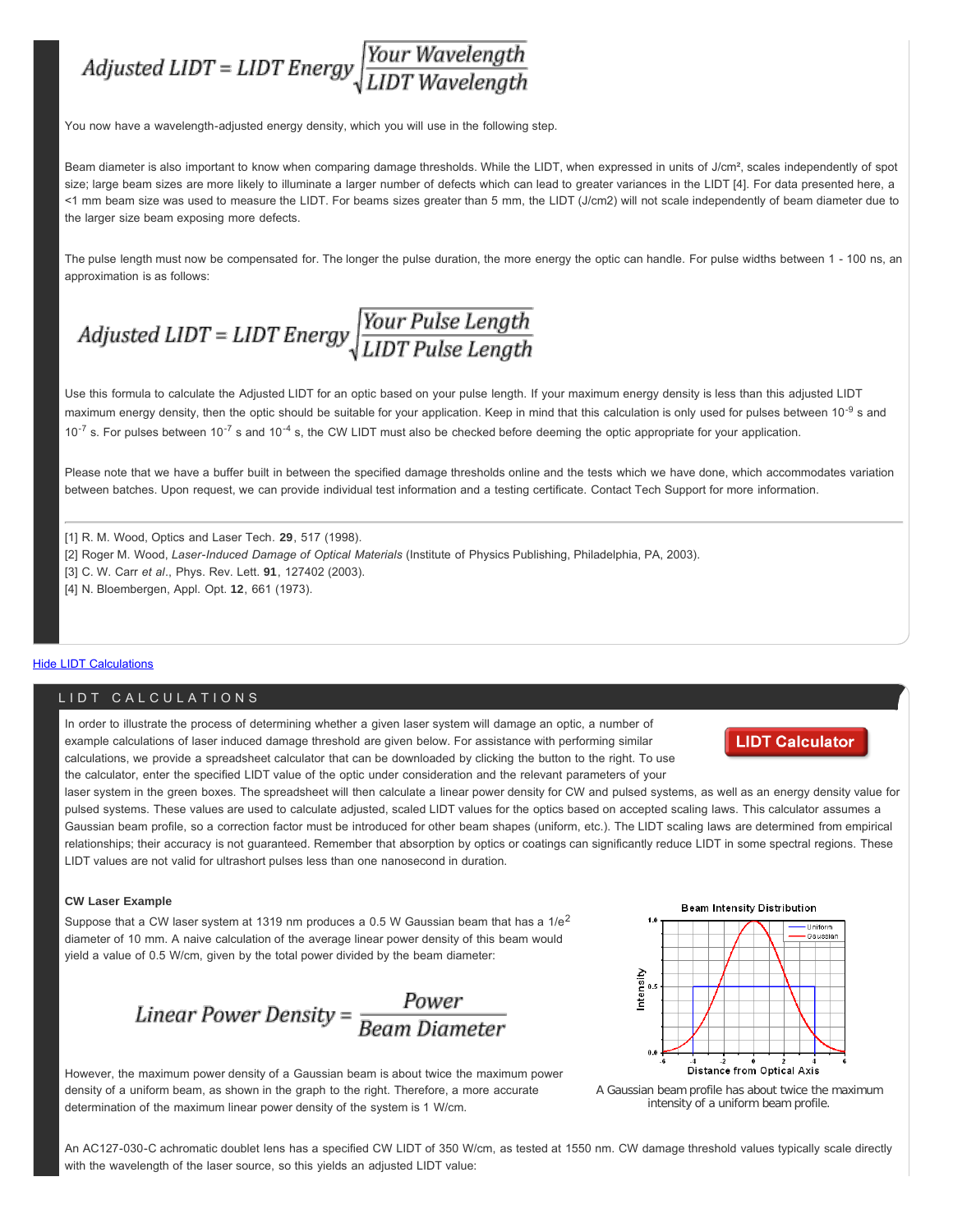

You now have a wavelength-adjusted energy density, which you will use in the following step.

Beam diameter is also important to know when comparing damage thresholds. While the LIDT, when expressed in units of J/cm<sup>2</sup>, scales independently of spot size; large beam sizes are more likely to illuminate a larger number of defects which can lead to greater variances in the LIDT [4]. For data presented here, a <1 mm beam size was used to measure the LIDT. For beams sizes greater than 5 mm, the LIDT (J/cm2) will not scale independently of beam diameter due to the larger size beam exposing more defects.

The pulse length must now be compensated for. The longer the pulse duration, the more energy the optic can handle. For pulse widths between 1 - 100 ns, an approximation is as follows:

# Adjusted LIDT = LIDT Energy  $\sqrt{\frac{Your \, Pulse \, Length}{LIDT \, Pulse \, Length}}$

Use this formula to calculate the Adjusted LIDT for an optic based on your pulse length. If your maximum energy density is less than this adjusted LIDT maximum energy density, then the optic should be suitable for your application. Keep in mind that this calculation is only used for pulses between 10<sup>-9</sup> s and  $10^{-7}$  s. For pulses between  $10^{-7}$  s and  $10^{-4}$  s, the CW LIDT must also be checked before deeming the optic appropriate for your application.

Please note that we have a buffer built in between the specified damage thresholds online and the tests which we have done, which accommodates variation between batches. Upon request, we can provide individual test information and a testing certificate. Contact Tech Support for more information.

[1] R. M. Wood, Optics and Laser Tech*.* **29**, 517 (1998). [2] Roger M. Wood, *Laser-Induced Damage of Optical Materials* (Institute of Physics Publishing, Philadelphia, PA, 2003). [3] C. W. Carr *et al*., Phys. Rev. Lett. **91**, 127402 (2003). [4] N. Bloembergen, Appl. Opt. **12**, 661 (1973).

#### Hide LIDT Calculations

#### LIDT CALCULATIONS

In order to illustrate the process of determining whether a given laser system will damage an optic, a number of example calculations of laser induced damage threshold are given below. For assistance with performing similar calculations, we provide a spreadsheet calculator that can be downloaded by clicking the button to the right. To use the calculator, enter the specified LIDT value of the optic under consideration and the relevant parameters of your

#### **LIDT Calculator**

laser system in the green boxes. The spreadsheet will then calculate a linear power density for CW and pulsed systems, as well as an energy density value for pulsed systems. These values are used to calculate adjusted, scaled LIDT values for the optics based on accepted scaling laws. This calculator assumes a Gaussian beam profile, so a correction factor must be introduced for other beam shapes (uniform, etc.). The LIDT scaling laws are determined from empirical relationships; their accuracy is not guaranteed. Remember that absorption by optics or coatings can significantly reduce LIDT in some spectral regions. These LIDT values are not valid for ultrashort pulses less than one nanosecond in duration.

#### **CW Laser Example**

Suppose that a CW laser system at 1319 nm produces a 0.5 W Gaussian beam that has a  $1/e<sup>2</sup>$ diameter of 10 mm. A naive calculation of the average linear power density of this beam would yield a value of 0.5 W/cm, given by the total power divided by the beam diameter:

Linear Power Density =  $\frac{Power}{Beam Diameter}$ 

However, the maximum power density of a Gaussian beam is about twice the maximum power density of a uniform beam, as shown in the graph to the right. Therefore, a more accurate determination of the maximum linear power density of the system is 1 W/cm.





An AC127-030-C achromatic doublet lens has a specified CW LIDT of 350 W/cm, as tested at 1550 nm. CW damage threshold values typically scale directly with the wavelength of the laser source, so this yields an adjusted LIDT value: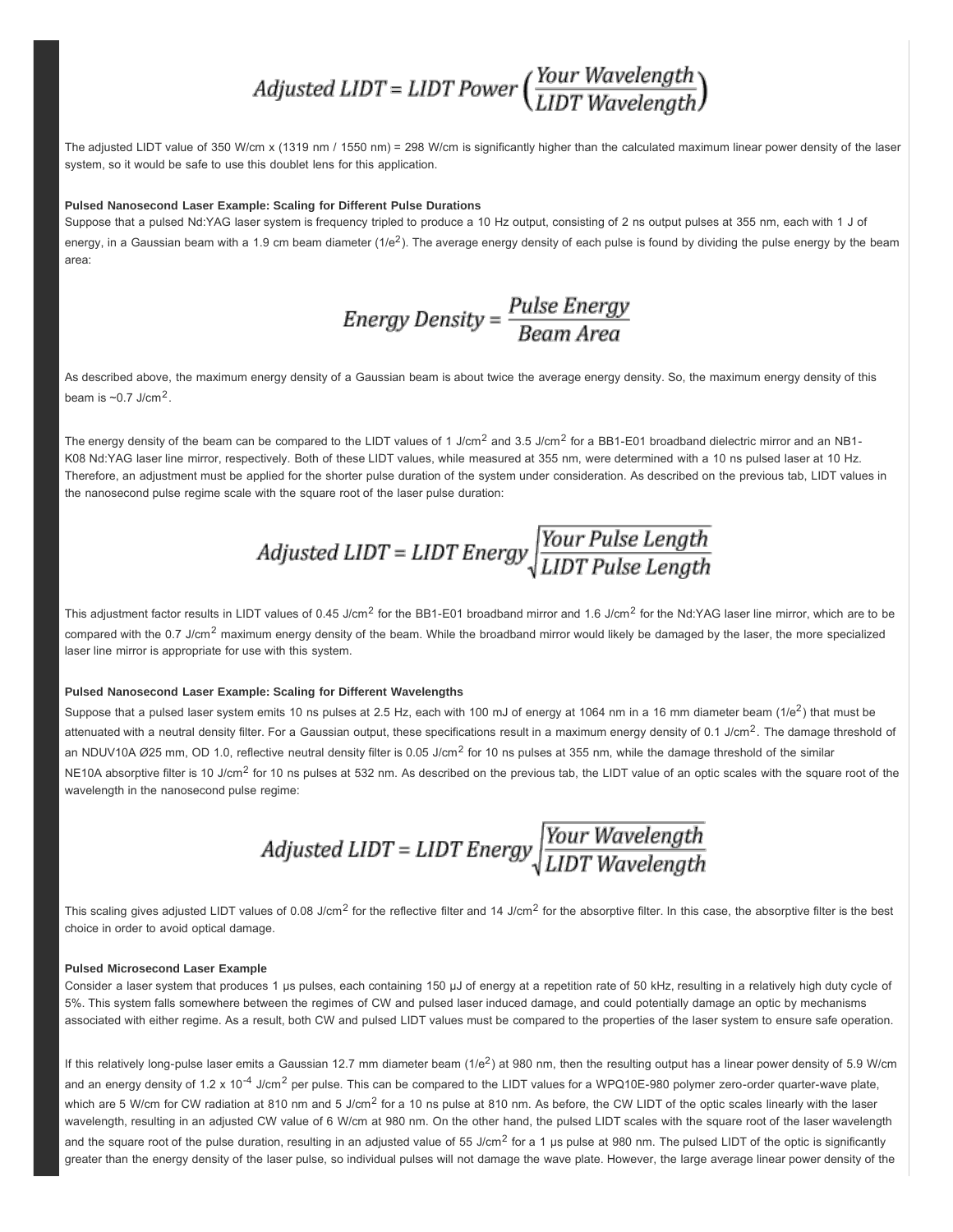### Adjusted LIDT = LIDT Power  $\left(\frac{Your \ Wavelength}{LIDT \ Wavelength}\right)$

The adjusted LIDT value of 350 W/cm x (1319 nm / 1550 nm) = 298 W/cm is significantly higher than the calculated maximum linear power density of the laser system, so it would be safe to use this doublet lens for this application.

#### **Pulsed Nanosecond Laser Example: Scaling for Different Pulse Durations**

Suppose that a pulsed Nd:YAG laser system is frequency tripled to produce a 10 Hz output, consisting of 2 ns output pulses at 355 nm, each with 1 J of energy, in a Gaussian beam with a 1.9 cm beam diameter  $(1/e^2)$ . The average energy density of each pulse is found by dividing the pulse energy by the beam area:

## Energy Density =  $\frac{Pulse Energy}{Beam Area}$

As described above, the maximum energy density of a Gaussian beam is about twice the average energy density. So, the maximum energy density of this beam is  $\sim 0.7$  J/cm<sup>2</sup>.

The energy density of the beam can be compared to the LIDT values of 1 J/cm<sup>2</sup> and 3.5 J/cm<sup>2</sup> for a BB1-E01 broadband dielectric mirror and an NB1-K08 Nd:YAG laser line mirror, respectively. Both of these LIDT values, while measured at 355 nm, were determined with a 10 ns pulsed laser at 10 Hz. Therefore, an adjustment must be applied for the shorter pulse duration of the system under consideration. As described on the previous tab, LIDT values in the nanosecond pulse regime scale with the square root of the laser pulse duration:

This adjustment factor results in LIDT values of 0.45 J/cm<sup>2</sup> for the BB1-E01 broadband mirror and 1.6 J/cm<sup>2</sup> for the Nd:YAG laser line mirror, which are to be compared with the 0.7 J/cm<sup>2</sup> maximum energy density of the beam. While the broadband mirror would likely be damaged by the laser, the more specialized laser line mirror is appropriate for use with this system.

#### **Pulsed Nanosecond Laser Example: Scaling for Different Wavelengths**

Suppose that a pulsed laser system emits 10 ns pulses at 2.5 Hz, each with 100 mJ of energy at 1064 nm in a 16 mm diameter beam  $(1/e^2)$  that must be attenuated with a neutral density filter. For a Gaussian output, these specifications result in a maximum energy density of 0.1 J/cm<sup>2</sup>. The damage threshold of an NDUV10A Ø25 mm, OD 1.0, reflective neutral density filter is 0.05 J/cm<sup>2</sup> for 10 ns pulses at 355 nm, while the damage threshold of the similar NE10A absorptive filter is 10 J/cm<sup>2</sup> for 10 ns pulses at 532 nm. As described on the previous tab, the LIDT value of an optic scales with the square root of the wavelength in the nanosecond pulse regime:

Adjusted LIDT = LIDT Energy  $\sqrt{\frac{Your\ Wavelength}{LIDT\ Wavelength}}$ 

This scaling gives adjusted LIDT values of 0.08 J/cm<sup>2</sup> for the reflective filter and 14 J/cm<sup>2</sup> for the absorptive filter. In this case, the absorptive filter is the best choice in order to avoid optical damage.

#### **Pulsed Microsecond Laser Example**

Consider a laser system that produces 1 µs pulses, each containing 150 µJ of energy at a repetition rate of 50 kHz, resulting in a relatively high duty cycle of 5%. This system falls somewhere between the regimes of CW and pulsed laser induced damage, and could potentially damage an optic by mechanisms associated with either regime. As a result, both CW and pulsed LIDT values must be compared to the properties of the laser system to ensure safe operation.

If this relatively long-pulse laser emits a Gaussian 12.7 mm diameter beam  $(1/e^2)$  at 980 nm, then the resulting output has a linear power density of 5.9 W/cm and an energy density of 1.2 x 10<sup>-4</sup> J/cm<sup>2</sup> per pulse. This can be compared to the LIDT values for a WPQ10E-980 polymer zero-order quarter-wave plate, which are 5 W/cm for CW radiation at 810 nm and 5 J/cm<sup>2</sup> for a 10 ns pulse at 810 nm. As before, the CW LIDT of the optic scales linearly with the laser wavelength, resulting in an adjusted CW value of 6 W/cm at 980 nm. On the other hand, the pulsed LIDT scales with the square root of the laser wavelength and the square root of the pulse duration, resulting in an adjusted value of 55 J/cm<sup>2</sup> for a 1 µs pulse at 980 nm. The pulsed LIDT of the optic is significantly greater than the energy density of the laser pulse, so individual pulses will not damage the wave plate. However, the large average linear power density of the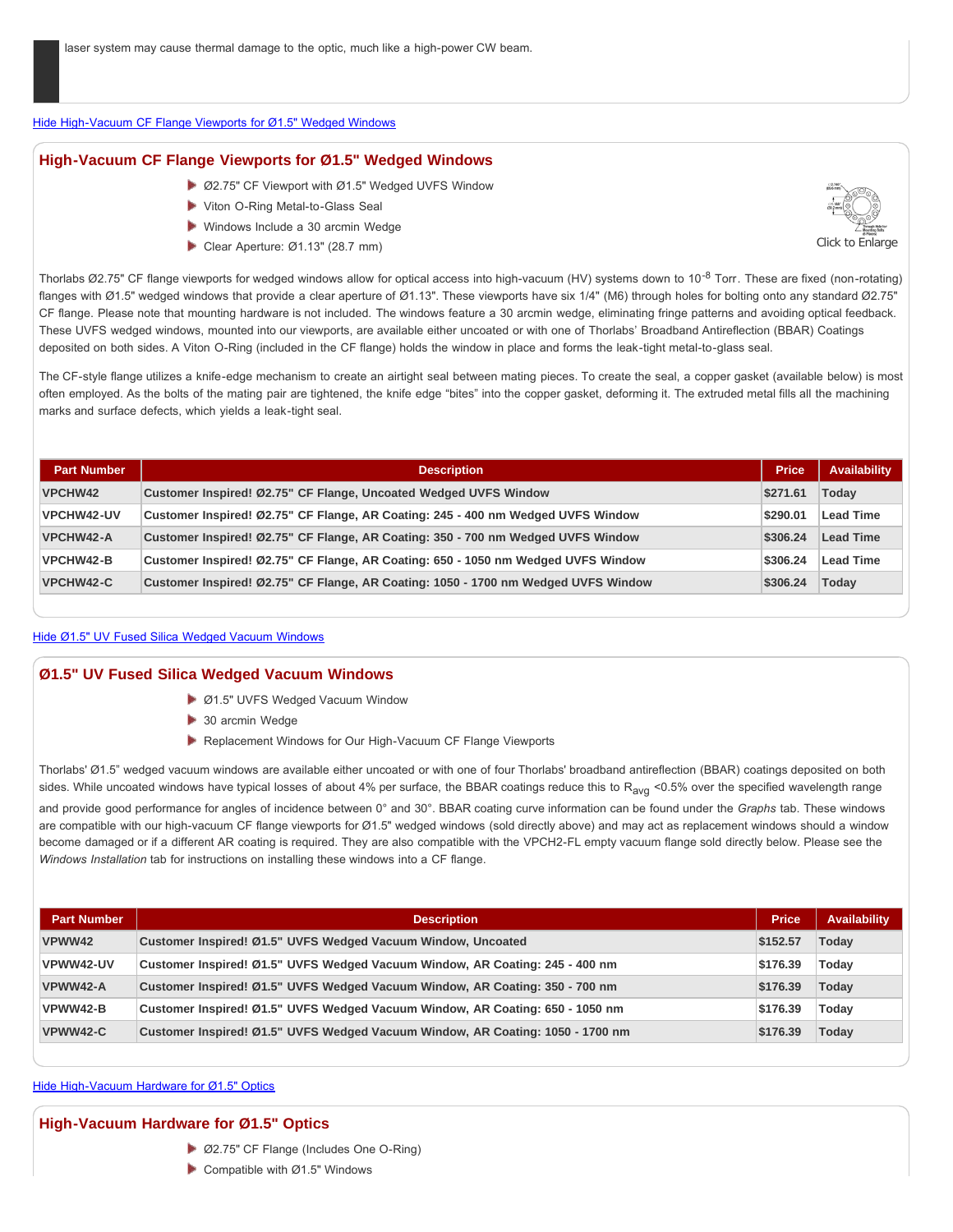#### Hide High-Vacuum CF Flange Viewports for Ø1.5" Wedged Windows

#### **High-Vacuum CF Flange Viewports for Ø1.5" Wedged Windows**

- ▶ Ø2.75" CF Viewport with Ø1.5" Wedged UVFS Window
- Viton O-Ring Metal-to-Glass Seal
- Windows Include a 30 arcmin Wedge
- Clear Aperture: Ø1.13" (28.7 mm)



Thorlabs Ø2.75" CF flange viewports for wedged windows allow for optical access into high-vacuum (HV) systems down to 10<sup>-8</sup> Torr. These are fixed (non-rotating) flanges with Ø1.5" wedged windows that provide a clear aperture of Ø1.13". These viewports have six 1/4" (M6) through holes for bolting onto any standard Ø2.75" CF flange. Please note that mounting hardware is not included. The windows feature a 30 arcmin wedge, eliminating fringe patterns and avoiding optical feedback. These UVFS wedged windows, mounted into our viewports, are available either uncoated or with one of Thorlabs' Broadband Antireflection (BBAR) Coatings deposited on both sides. A Viton O-Ring (included in the CF flange) holds the window in place and forms the leak-tight metal-to-glass seal.

The CF-style flange utilizes a knife-edge mechanism to create an airtight seal between mating pieces. To create the seal, a copper gasket (available below) is most often employed. As the bolts of the mating pair are tightened, the knife edge "bites" into the copper gasket, deforming it. The extruded metal fills all the machining marks and surface defects, which yields a leak-tight seal.

| <b>Part Number</b> | <b>Description</b>                                                                 | <b>Price</b> | Availability     |
|--------------------|------------------------------------------------------------------------------------|--------------|------------------|
| <b>VPCHW42</b>     | Customer Inspired! Ø2.75" CF Flange, Uncoated Wedged UVFS Window                   | \$271.61     | Today            |
| <b>VPCHW42-UV</b>  | Customer Inspired! Ø2.75" CF Flange, AR Coating: 245 - 400 nm Wedged UVFS Window   | \$290.01     | <b>Lead Time</b> |
| <b>VPCHW42-A</b>   | Customer Inspired! Ø2.75" CF Flange, AR Coating: 350 - 700 nm Wedged UVFS Window   | \$306.24     | <b>Lead Time</b> |
| <b>VPCHW42-B</b>   | Customer Inspired! Ø2.75" CF Flange, AR Coating: 650 - 1050 nm Wedged UVFS Window  | \$306.24     | <b>Lead Time</b> |
| <b>VPCHW42-C</b>   | Customer Inspired! Ø2.75" CF Flange, AR Coating: 1050 - 1700 nm Wedged UVFS Window | \$306.24     | Today            |

#### Hide Ø1.5" UV Fused Silica Wedged Vacuum Windows

#### **Ø1.5" UV Fused Silica Wedged Vacuum Windows**

- Ø1.5" UVFS Wedged Vacuum Window
- 30 arcmin Wedge
- **Replacement Windows for Our High-Vacuum CF Flange Viewports**

Thorlabs' Ø1.5" wedged vacuum windows are available either uncoated or with one of four Thorlabs' broadband antireflection (BBAR) coatings deposited on both sides. While uncoated windows have typical losses of about 4% per surface, the BBAR coatings reduce this to R<sub>avg</sub> <0.5% over the specified wavelength range and provide good performance for angles of incidence between 0° and 30°. BBAR coating curve information can be found under the *Graphs* tab. These windows are compatible with our high-vacuum CF flange viewports for Ø1.5" wedged windows (sold directly above) and may act as replacement windows should a window become damaged or if a different AR coating is required. They are also compatible with the VPCH2-FL empty vacuum flange sold directly below. Please see the *Windows Installation* tab for instructions on installing these windows into a CF flange.

| <b>Part Number</b> | <b>Description</b>                                                             | <b>Price</b> | <b>Availability</b> |
|--------------------|--------------------------------------------------------------------------------|--------------|---------------------|
| VPWW42             | Customer Inspired! Ø1.5" UVFS Wedged Vacuum Window, Uncoated                   | \$152.57     | Today               |
| VPWW42-UV          | Customer Inspired! Ø1.5" UVFS Wedged Vacuum Window, AR Coating: 245 - 400 nm   | \$176.39     | Today               |
| VPWW42-A           | Customer Inspired! Ø1.5" UVFS Wedged Vacuum Window, AR Coating: 350 - 700 nm   | \$176.39     | Today               |
| VPWW42-B           | Customer Inspired! Ø1.5" UVFS Wedged Vacuum Window, AR Coating: 650 - 1050 nm  | \$176.39     | Today               |
| VPWW42-C           | Customer Inspired! Ø1.5" UVFS Wedged Vacuum Window, AR Coating: 1050 - 1700 nm | \$176.39     | Today               |

#### Hide High-Vacuum Hardware for Ø1.5" Optics

#### **High-Vacuum Hardware for Ø1.5" Optics**

- Ø2.75" CF Flange (Includes One O-Ring)
- $\triangleright$  Compatible with Ø1.5" Windows